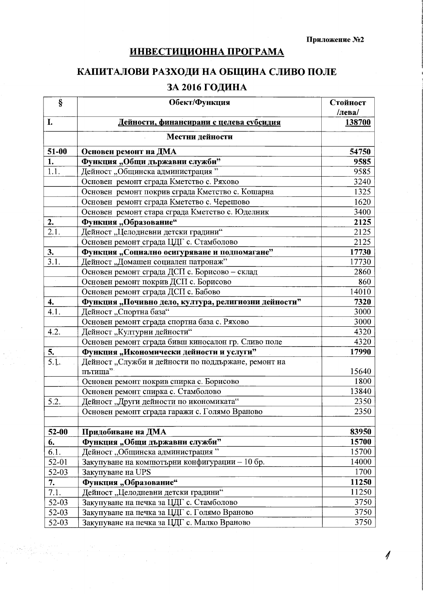## **ИНВЕСТИЦИОННА ПРОГРАМА**

## КАПИТАЛОВИ РАЗХОДИ НА ОБЩИНА СЛИВО ПОЛЕ ЗА 2016 ГОДИНА

| $\S$               | Обект/Функция                                                  | Стойност<br>/лева/ |
|--------------------|----------------------------------------------------------------|--------------------|
| I.                 | Дейности, финансирани с целева субсидия                        | 138700             |
|                    | Местни дейности                                                |                    |
| 51-00              | Основен ремонт на ДМА                                          | 54750              |
| 1.                 | Функция "Общи държавни служби"                                 | 9585               |
| 1.1.               | Дейност "Общинска администрация"                               | 9585               |
|                    | Основен ремонт сграда Кметство с. Ряхово                       | 3240               |
|                    | Основен ремонт покрив сграда Кметство с. Кошарна               | 1325               |
|                    | Основен ремонт сграда Кметство с. Черешово                     | 1620               |
|                    | Основен ремонт стара сграда Кметство с. Юделник                | 3400               |
| 2.                 | Функция "Образование"                                          | 2125               |
| 2.1.               | Дейност "Целодневни детски градини"                            | 2125               |
|                    | Основен ремонт сграда ЦДГ с. Стамболово                        | 2125               |
| 3.                 | Функция "Социално осигуряване и подпомагане"                   | 17730              |
| 3.1.               | Дейност "Домашен социален патронаж"                            | 17730              |
|                    | Основен ремонт сграда ДСП с. Борисово - склад                  | 2860               |
|                    | Основен ремонт покрив ДСП с. Борисово                          | 860                |
|                    | Основен ремонт сграда ДСП с. Бабово                            | 14010              |
| $\boldsymbol{4}$ . | Функция "Почивно дело, култура, религиозни дейности"           | 7320               |
| 4.1.               | Дейност "Спортна база"                                         | 3000               |
|                    | Основен ремонт сграда спортна база с. Ряхово                   | 3000               |
| 4.2.               | Дейност "Културни дейности"                                    | 4320               |
|                    | Основен ремонт сграда бивш киносалон гр. Сливо поле            | 4320               |
| 5.                 | Функция "Икономически дейности и услуги"                       | 17990              |
| $\overline{5.1}$ . | Дейност "Служби и дейности по поддържане, ремонт на<br>пътища" | 15640              |
|                    | Основен ремонт покрив спирка с. Борисово                       | 1800               |
|                    | Основен ремонт спирка с. Стамболово                            | 13840              |
| 5.2.               | Дейност "Други дейности по икономиката"                        | 2350               |
|                    | Основен ремонт сграда гаражи с. Голямо Враново                 | 2350               |
|                    |                                                                |                    |
| $52-00$            | Придобиване на ДМА                                             | 83950              |
| 6.                 | Функция "Общи държавни служби"                                 | 15700              |
| 6.1.               | Дейност "Общинска администрация"                               | 15700              |
| $52 - 01$          | Закупуване на компютърни конфигурации - 10 бр.                 | 14000              |
| 52-03              | Закупуване на UPS                                              | 1700               |
| 7.                 | Функция "Образование"                                          | 11250              |
| 7.1.               | Лейност "Целодневни детски градини"                            | 11250              |
| $52-03$            | Закупуване на печка за ЦДГ с. Стамболово                       | 3750               |
| $52-03$            | Закупуване на печка за ЦДГ с. Голямо Враново                   | 3750               |
| 52-03              | Закупуване на печка за ЦДГ с. Малко Враново                    | 3750               |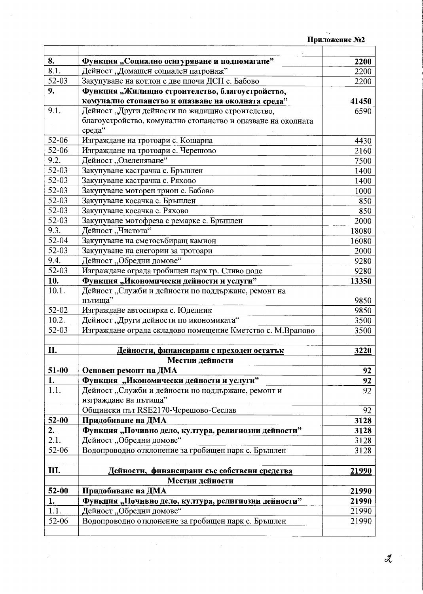| 8.        | Функция "Социално осигуряване и подпомагане"                   | 2200         |
|-----------|----------------------------------------------------------------|--------------|
| 8.1.      | Дейност "Домашен социален патронаж"                            | 2200         |
| $52 - 03$ | Закупуване на котлон с две плочи ДСП с. Бабово                 | 2200         |
| 9.        | Функция "Жилищно строителство, благоустройство,                |              |
|           | комунално стопанство и опазване на околната среда"             | 41450        |
| 9.1.      | Дейност "Други дейности по жилищно строителство,               | 6590         |
|           | благоустройство, комунално стопанство и опазване на околната   |              |
|           | среда"                                                         |              |
| 52-06     | Изграждане на тротоари с. Кошарна                              | 4430         |
| 52-06     | Изграждане на тротоари с. Черешово                             | 2160         |
| 9.2.      | Дейност "Озеленяване"                                          | 7500         |
| 52-03     | Закупуване кастрачка с. Бръшлен                                | 1400         |
| $52 - 03$ | Закупуване кастрачка с. Ряхово                                 | 1400         |
| 52-03     | Закупуване моторен трион с. Бабово                             | 1000         |
| 52-03     | Закупуване косачка с. Бръшлен                                  | 850          |
| 52-03     | Закупуване косачка с. Ряхово                                   | 850          |
| 52-03     | Закупуване мотофреза с ремарке с. Бръшлен                      | 2000         |
| 9.3.      | Дейност "Чистота"                                              | 18080        |
| 52-04     | Закупуване на сметосъбиращ камион                              | 16080        |
| 52-03     | Закупуване на снегорин за тротоари                             | 2000         |
| 9.4.      | Дейност "Обредни домове"                                       | 9280         |
| $52 - 03$ | Изграждане ограда гробищен парк гр. Сливо поле                 | 9280         |
| 10.       | Функция "Икономически дейности и услуги"                       | 13350        |
| 10.1.     | Дейност "Служби и дейности по поддържане, ремонт на<br>пътища" |              |
| 52-02     | Изграждане автоспирка с. Юделник                               | 9850<br>9850 |
| 10.2.     | Дейност, Други дейности по икономиката"                        | 3500         |
| 52-03     | Изграждане ограда складово помещение Кметство с. М.Враново     | 3500         |
|           |                                                                |              |
| II.       | Дейности, финансирани с преходен остатък                       | 3220         |
|           | Местни дейности                                                |              |
| 51-00     | Основен ремонт на ДМА                                          | 92           |
| 1.        | Функция, Мкономически дейности и услуги"                       | 92           |
| 1.1.      | Дейност "Служби и дейности по поддържане, ремонт и             | 92           |
|           | изграждане на пътища"                                          |              |
|           | Общински път RSE2170-Черешово-Сеслав                           | 92           |
| $52 - 00$ | Придобиване на ДМА                                             | 3128         |
| 2.        | Функция "Почивно дело, култура, религиозни дейности"           | 3128         |
| 2.1.      | Дейност "Обредни домове"                                       | 3128         |
| 52-06     | Водопроводно отклонение за гробищен парк с. Бръшлен            | 3128         |
|           |                                                                |              |
| Ш.        | Дейности, финансирани със собствени средства                   | 21990        |
|           | Местни дейности                                                |              |
| $52 - 00$ | Придобиване на ДМА                                             | 21990        |
| 1.        | Функция "Почивно дело, култура, религиозни дейности"           | 21990        |
| 1.1.      | Дейност "Обредни домове"                                       | 21990        |
| 52-06     | Водопроводно отклонение за гробищен парк с. Бръшлен            | 21990        |
|           |                                                                |              |

 $\mathcal{A}$